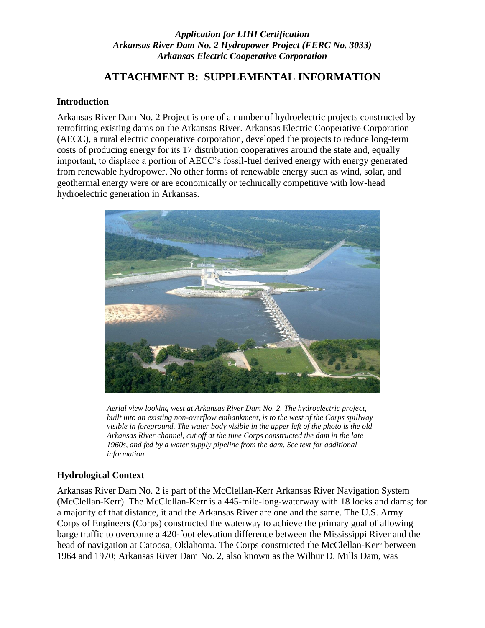## *Application for LIHI Certification Arkansas River Dam No. 2 Hydropower Project (FERC No. 3033) Arkansas Electric Cooperative Corporation*

# **ATTACHMENT B: SUPPLEMENTAL INFORMATION**

#### **Introduction**

Arkansas River Dam No. 2 Project is one of a number of hydroelectric projects constructed by retrofitting existing dams on the Arkansas River. Arkansas Electric Cooperative Corporation (AECC), a rural electric cooperative corporation, developed the projects to reduce long-term costs of producing energy for its 17 distribution cooperatives around the state and, equally important, to displace a portion of AECC's fossil-fuel derived energy with energy generated from renewable hydropower. No other forms of renewable energy such as wind, solar, and geothermal energy were or are economically or technically competitive with low-head hydroelectric generation in Arkansas.



*Aerial view looking west at Arkansas River Dam No. 2. The hydroelectric project, built into an existing non-overflow embankment, is to the west of the Corps spillway visible in foreground. The water body visible in the upper left of the photo is the old Arkansas River channel, cut off at the time Corps constructed the dam in the late 1960s, and fed by a water supply pipeline from the dam. See text for additional information.* 

## **Hydrological Context**

Arkansas River Dam No. 2 is part of the McClellan-Kerr Arkansas River Navigation System (McClellan-Kerr). The McClellan-Kerr is a 445-mile-long-waterway with 18 locks and dams; for a majority of that distance, it and the Arkansas River are one and the same. The U.S. Army Corps of Engineers (Corps) constructed the waterway to achieve the primary goal of allowing barge traffic to overcome a 420-foot elevation difference between the Mississippi River and the head of navigation at Catoosa, Oklahoma. The Corps constructed the McClellan-Kerr between 1964 and 1970; Arkansas River Dam No. 2, also known as the Wilbur D. Mills Dam, was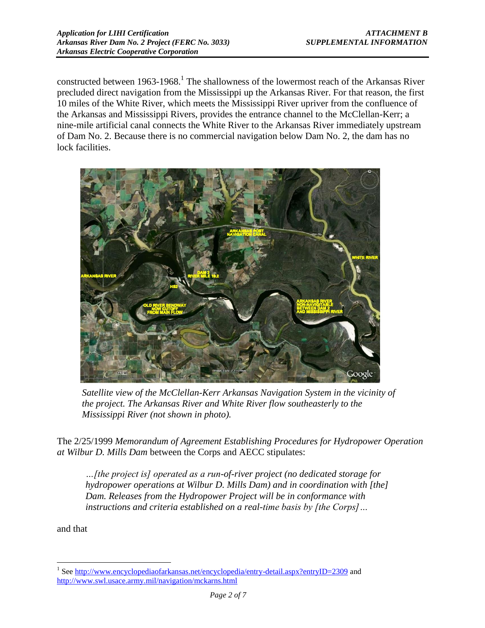constructed between 1963-1968.<sup>1</sup> The shallowness of the lowermost reach of the Arkansas River precluded direct navigation from the Mississippi up the Arkansas River. For that reason, the first 10 miles of the White River, which meets the Mississippi River upriver from the confluence of the Arkansas and Mississippi Rivers, provides the entrance channel to the McClellan-Kerr; a nine-mile artificial canal connects the White River to the Arkansas River immediately upstream of Dam No. 2. Because there is no commercial navigation below Dam No. 2, the dam has no lock facilities.



*Satellite view of the McClellan-Kerr Arkansas Navigation System in the vicinity of the project. The Arkansas River and White River flow southeasterly to the Mississippi River (not shown in photo).*

The 2/25/1999 *Memorandum of Agreement Establishing Procedures for Hydropower Operation at Wilbur D. Mills Dam* between the Corps and AECC stipulates:

*…[the project is] operated as a run-of-river project (no dedicated storage for hydropower operations at Wilbur D. Mills Dam) and in coordination with [the] Dam. Releases from the Hydropower Project will be in conformance with instructions and criteria established on a real-time basis by [the Corps]…* 

and that

 $\overline{a}$ 

<sup>&</sup>lt;sup>1</sup> Se[e http://www.encyclopediaofarkansas.net/encyclopedia/entry-detail.aspx?entryID=2309](http://www.encyclopediaofarkansas.net/encyclopedia/entry-detail.aspx?entryID=2309) and <http://www.swl.usace.army.mil/navigation/mckarns.html>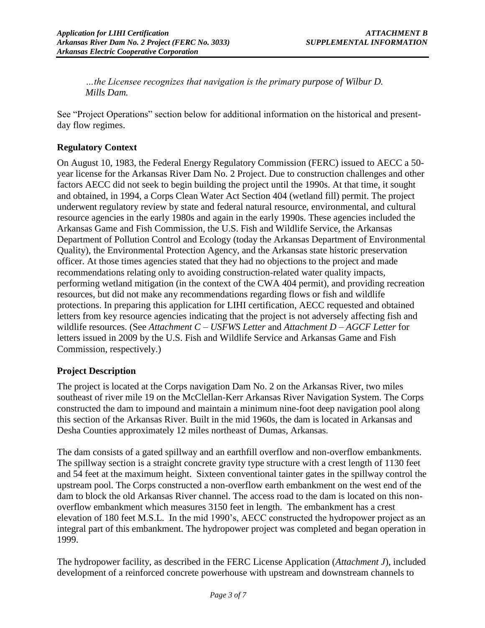*…the Licensee recognizes that navigation is the primary purpose of Wilbur D. Mills Dam.*

See "Project Operations" section below for additional information on the historical and presentday flow regimes.

#### **Regulatory Context**

On August 10, 1983, the Federal Energy Regulatory Commission (FERC) issued to AECC a 50 year license for the Arkansas River Dam No. 2 Project. Due to construction challenges and other factors AECC did not seek to begin building the project until the 1990s. At that time, it sought and obtained, in 1994, a Corps Clean Water Act Section 404 (wetland fill) permit. The project underwent regulatory review by state and federal natural resource, environmental, and cultural resource agencies in the early 1980s and again in the early 1990s. These agencies included the Arkansas Game and Fish Commission, the U.S. Fish and Wildlife Service, the Arkansas Department of Pollution Control and Ecology (today the Arkansas Department of Environmental Quality), the Environmental Protection Agency, and the Arkansas state historic preservation officer. At those times agencies stated that they had no objections to the project and made recommendations relating only to avoiding construction-related water quality impacts, performing wetland mitigation (in the context of the CWA 404 permit), and providing recreation resources, but did not make any recommendations regarding flows or fish and wildlife protections. In preparing this application for LIHI certification, AECC requested and obtained letters from key resource agencies indicating that the project is not adversely affecting fish and wildlife resources. (See *Attachment C – USFWS Letter* and *Attachment D – AGCF Letter* for letters issued in 2009 by the U.S. Fish and Wildlife Service and Arkansas Game and Fish Commission, respectively.)

## **Project Description**

The project is located at the Corps navigation Dam No. 2 on the Arkansas River, two miles southeast of river mile 19 on the McClellan-Kerr Arkansas River Navigation System. The Corps constructed the dam to impound and maintain a minimum nine-foot deep navigation pool along this section of the Arkansas River. Built in the mid 1960s, the dam is located in Arkansas and Desha Counties approximately 12 miles northeast of Dumas, Arkansas.

The dam consists of a gated spillway and an earthfill overflow and non-overflow embankments. The spillway section is a straight concrete gravity type structure with a crest length of 1130 feet and 54 feet at the maximum height. Sixteen conventional tainter gates in the spillway control the upstream pool. The Corps constructed a non-overflow earth embankment on the west end of the dam to block the old Arkansas River channel. The access road to the dam is located on this nonoverflow embankment which measures 3150 feet in length. The embankment has a crest elevation of 180 feet M.S.L. In the mid 1990's, AECC constructed the hydropower project as an integral part of this embankment. The hydropower project was completed and began operation in 1999.

The hydropower facility, as described in the FERC License Application (*Attachment J*), included development of a reinforced concrete powerhouse with upstream and downstream channels to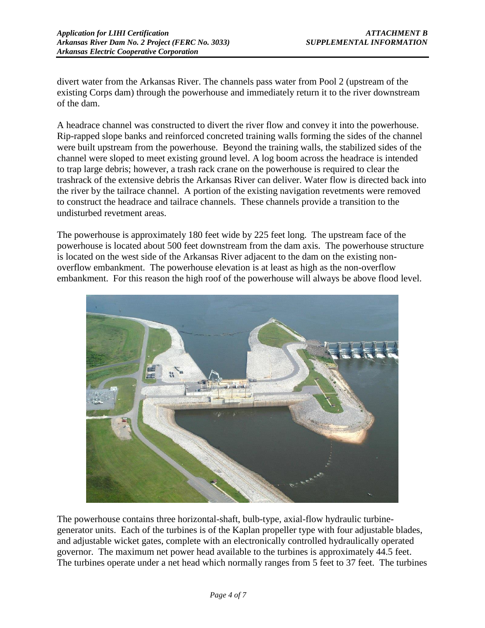divert water from the Arkansas River. The channels pass water from Pool 2 (upstream of the existing Corps dam) through the powerhouse and immediately return it to the river downstream of the dam.

A headrace channel was constructed to divert the river flow and convey it into the powerhouse. Rip-rapped slope banks and reinforced concreted training walls forming the sides of the channel were built upstream from the powerhouse. Beyond the training walls, the stabilized sides of the channel were sloped to meet existing ground level. A log boom across the headrace is intended to trap large debris; however, a trash rack crane on the powerhouse is required to clear the trashrack of the extensive debris the Arkansas River can deliver. Water flow is directed back into the river by the tailrace channel. A portion of the existing navigation revetments were removed to construct the headrace and tailrace channels. These channels provide a transition to the undisturbed revetment areas.

The powerhouse is approximately 180 feet wide by 225 feet long. The upstream face of the powerhouse is located about 500 feet downstream from the dam axis. The powerhouse structure is located on the west side of the Arkansas River adjacent to the dam on the existing nonoverflow embankment. The powerhouse elevation is at least as high as the non-overflow embankment. For this reason the high roof of the powerhouse will always be above flood level.



The powerhouse contains three horizontal-shaft, bulb-type, axial-flow hydraulic turbinegenerator units. Each of the turbines is of the Kaplan propeller type with four adjustable blades, and adjustable wicket gates, complete with an electronically controlled hydraulically operated governor. The maximum net power head available to the turbines is approximately 44.5 feet. The turbines operate under a net head which normally ranges from 5 feet to 37 feet. The turbines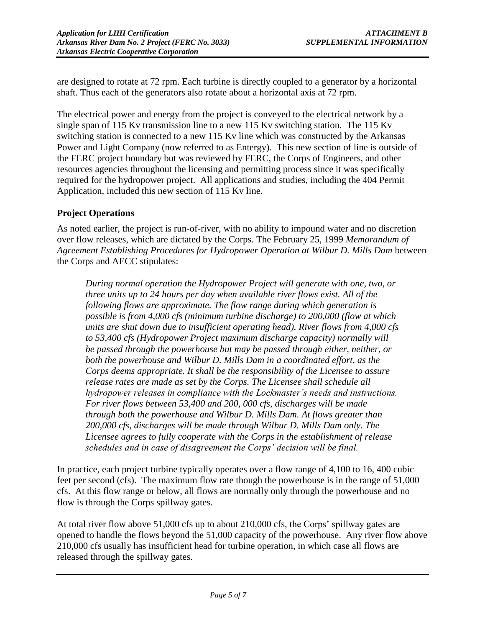are designed to rotate at 72 rpm. Each turbine is directly coupled to a generator by a horizontal shaft. Thus each of the generators also rotate about a horizontal axis at 72 rpm.

The electrical power and energy from the project is conveyed to the electrical network by a single span of 115 Kv transmission line to a new 115 Kv switching station. The 115 Kv switching station is connected to a new 115 Kv line which was constructed by the Arkansas Power and Light Company (now referred to as Entergy). This new section of line is outside of the FERC project boundary but was reviewed by FERC, the Corps of Engineers, and other resources agencies throughout the licensing and permitting process since it was specifically required for the hydropower project. All applications and studies, including the 404 Permit Application, included this new section of 115 Kv line.

# **Project Operations**

As noted earlier, the project is run-of-river, with no ability to impound water and no discretion over flow releases, which are dictated by the Corps. The February 25, 1999 *Memorandum of Agreement Establishing Procedures for Hydropower Operation at Wilbur D. Mills Dam* between the Corps and AECC stipulates:

*During normal operation the Hydropower Project will generate with one, two, or three units up to 24 hours per day when available river flows exist. All of the following flows are approximate. The flow range during which generation is possible is from 4,000 cfs (minimum turbine discharge) to 200,000 (flow at which units are shut down due to insufficient operating head). River flows from 4,000 cfs to 53,400 cfs (Hydropower Project maximum discharge capacity) normally will be passed through the powerhouse but may be passed through either, neither, or both the powerhouse and Wilbur D. Mills Dam in a coordinated effort, as the Corps deems appropriate. It shall be the responsibility of the Licensee to assure release rates are made as set by the Corps. The Licensee shall schedule all hydropower releases in compliance with the Lockmaster's needs and instructions. For river flows between 53,400 and 200, 000 cfs, discharges will be made through both the powerhouse and Wilbur D. Mills Dam. At flows greater than 200,000 cfs, discharges will be made through Wilbur D. Mills Dam only. The Licensee agrees to fully cooperate with the Corps in the establishment of release schedules and in case of disagreement the Corps' decision will be final.*

In practice, each project turbine typically operates over a flow range of 4,100 to 16, 400 cubic feet per second (cfs). The maximum flow rate though the powerhouse is in the range of 51,000 cfs. At this flow range or below, all flows are normally only through the powerhouse and no flow is through the Corps spillway gates.

At total river flow above 51,000 cfs up to about 210,000 cfs, the Corps' spillway gates are opened to handle the flows beyond the 51,000 capacity of the powerhouse. Any river flow above 210,000 cfs usually has insufficient head for turbine operation, in which case all flows are released through the spillway gates.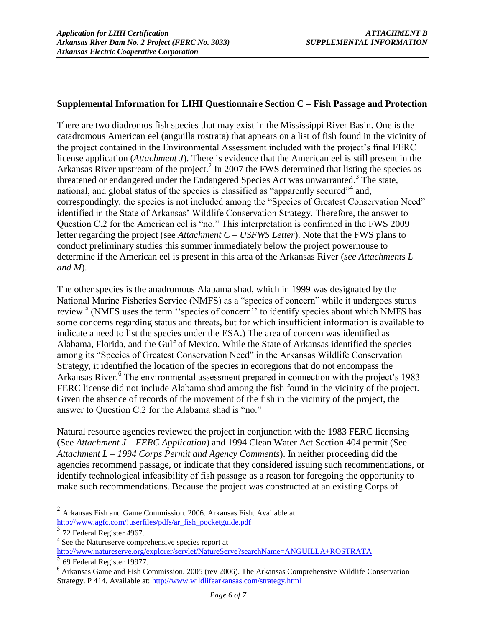#### **Supplemental Information for LIHI Questionnaire Section C – Fish Passage and Protection**

There are two diadromos fish species that may exist in the Mississippi River Basin. One is the catadromous American eel (anguilla rostrata) that appears on a list of fish found in the vicinity of the project contained in the Environmental Assessment included with the project's final FERC license application (*Attachment J*). There is evidence that the American eel is still present in the Arkansas River upstream of the project.<sup>2</sup> In 2007 the FWS determined that listing the species as threatened or endangered under the Endangered Species Act was unwarranted.<sup>3</sup> The state, national, and global status of the species is classified as "apparently secured"<sup>4</sup> and, correspondingly, the species is not included among the "Species of Greatest Conservation Need" identified in the State of Arkansas' Wildlife Conservation Strategy. Therefore, the answer to Question C.2 for the American eel is "no." This interpretation is confirmed in the FWS 2009 letter regarding the project (see *Attachment C – USFWS Letter*). Note that the FWS plans to conduct preliminary studies this summer immediately below the project powerhouse to determine if the American eel is present in this area of the Arkansas River (*see Attachments L and M*).

The other species is the anadromous Alabama shad, which in 1999 was designated by the National Marine Fisheries Service (NMFS) as a "species of concern" while it undergoes status review.<sup>5</sup> (NMFS uses the term "species of concern" to identify species about which NMFS has some concerns regarding status and threats, but for which insufficient information is available to indicate a need to list the species under the ESA.) The area of concern was identified as Alabama, Florida, and the Gulf of Mexico. While the State of Arkansas identified the species among its "Species of Greatest Conservation Need" in the Arkansas Wildlife Conservation Strategy, it identified the location of the species in ecoregions that do not encompass the Arkansas River.<sup>6</sup> The environmental assessment prepared in connection with the project's 1983 FERC license did not include Alabama shad among the fish found in the vicinity of the project. Given the absence of records of the movement of the fish in the vicinity of the project, the answer to Question C.2 for the Alabama shad is "no."

Natural resource agencies reviewed the project in conjunction with the 1983 FERC licensing (See *Attachment J – FERC Application*) and 1994 Clean Water Act Section 404 permit (See *Attachment L – 1994 Corps Permit and Agency Comments*). In neither proceeding did the agencies recommend passage, or indicate that they considered issuing such recommendations, or identify technological infeasibility of fish passage as a reason for foregoing the opportunity to make such recommendations. Because the project was constructed at an existing Corps of

<sup>4</sup> See the Natureserve comprehensive species report at <http://www.natureserve.org/explorer/servlet/NatureServe?searchName=ANGUILLA+ROSTRATA> 5 69 Federal Register 19977.

 2 Arkansas Fish and Game Commission. 2006. Arkansas Fish. Available at: [http://www.agfc.com/!userfiles/pdfs/ar\\_fish\\_pocketguide.pdf](http://www.agfc.com/!userfiles/pdfs/ar_fish_pocketguide.pdf)

<sup>&</sup>lt;sup>3</sup> 72 Federal Register 4967.

<sup>6</sup> Arkansas Game and Fish Commission. 2005 (rev 2006). The Arkansas Comprehensive Wildlife Conservation Strategy. P 414. Available at:<http://www.wildlifearkansas.com/strategy.html>